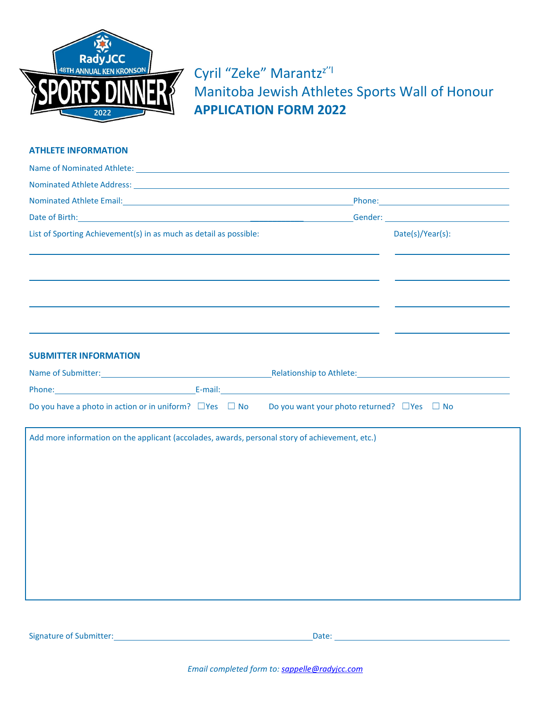

Cyril "Zeke" Marantz<sup>z"|</sup> Manitoba Jewish Athletes Sports Wall of Honour **APPLICATION FORM 2022**

## **ATHLETE INFORMATION**

| Name of Nominated Athlete: Law and Contract and Contract and Contract and Contract and Contract and Contract and Contract and Contract and Contract and Contract and Contract and Contract and Contract and Contract and Contr |                  |
|--------------------------------------------------------------------------------------------------------------------------------------------------------------------------------------------------------------------------------|------------------|
| Nominated Athlete Address: North States and States and States and States and States and States and States and States and States and States and States and States and States and States and States and States and States and St |                  |
| Nominated Athlete Email: North and Society and Society and Society and Society and Society and Society and Society and Society and Society and Society and Society and Society and Society and Society and Society and Society |                  |
|                                                                                                                                                                                                                                |                  |
| List of Sporting Achievement(s) in as much as detail as possible:                                                                                                                                                              | Date(s)/Year(s): |
|                                                                                                                                                                                                                                |                  |
|                                                                                                                                                                                                                                |                  |
|                                                                                                                                                                                                                                |                  |
|                                                                                                                                                                                                                                |                  |
|                                                                                                                                                                                                                                |                  |
|                                                                                                                                                                                                                                |                  |
| <b>SUBMITTER INFORMATION</b>                                                                                                                                                                                                   |                  |
| Name of Submitter: Name of Submitter: Name of Submitter: Name of Submitter: Name of Submitter: Name of Submitter:                                                                                                              |                  |
|                                                                                                                                                                                                                                |                  |
| Do you have a photo in action or in uniform? $\Box$ Yes $\Box$ No Do you want your photo returned? $\Box$ Yes $\Box$ No                                                                                                        |                  |
| Add more information on the applicant (accolades, awards, personal story of achievement, etc.)                                                                                                                                 |                  |
|                                                                                                                                                                                                                                |                  |
|                                                                                                                                                                                                                                |                  |
|                                                                                                                                                                                                                                |                  |
|                                                                                                                                                                                                                                |                  |
|                                                                                                                                                                                                                                |                  |
|                                                                                                                                                                                                                                |                  |
|                                                                                                                                                                                                                                |                  |
|                                                                                                                                                                                                                                |                  |
|                                                                                                                                                                                                                                |                  |
|                                                                                                                                                                                                                                |                  |
|                                                                                                                                                                                                                                |                  |

Signature of Submitter: Date: Date: Date: Date: Date: Date: Date: Date: Date: Date: Date: Date: Date: Date: Date: Date: Date: Date: Date: Date: Date: Date: Date: Date: Date: Date: Date: Date: Date: Date: Date: Date: Date: